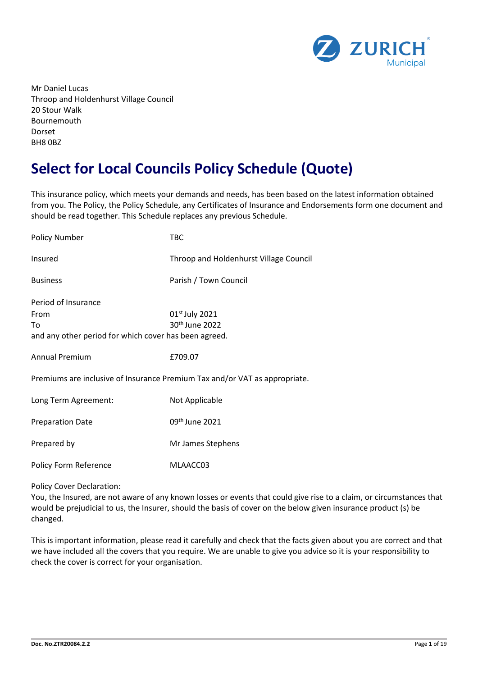

Mr Daniel Lucas Throop and Holdenhurst Village Council 20 Stour Walk Bournemouth Dorset BH8 0BZ

# **Select for Local Councils Policy Schedule (Quote)**

This insurance policy, which meets your demands and needs, has been based on the latest information obtained from you. The Policy, the Policy Schedule, any Certificates of Insurance and Endorsements form one document and should be read together. This Schedule replaces any previous Schedule.

| <b>Policy Number</b>                                                                       | TBC                                                                        |
|--------------------------------------------------------------------------------------------|----------------------------------------------------------------------------|
| Insured                                                                                    | Throop and Holdenhurst Village Council                                     |
| <b>Business</b>                                                                            | Parish / Town Council                                                      |
| Period of Insurance<br>From<br>To<br>and any other period for which cover has been agreed. | 01 <sup>st</sup> July 2021<br>30 <sup>th</sup> June 2022                   |
| <b>Annual Premium</b>                                                                      | £709.07                                                                    |
|                                                                                            | Premiums are inclusive of Insurance Premium Tax and/or VAT as appropriate. |
| Long Term Agreement:                                                                       | Not Applicable                                                             |
| <b>Preparation Date</b>                                                                    | 09 <sup>th</sup> June 2021                                                 |
| Prepared by                                                                                | Mr James Stephens                                                          |
| Policy Form Reference                                                                      | MLAACC03                                                                   |

#### Policy Cover Declaration:

You, the Insured, are not aware of any known losses or events that could give rise to a claim, or circumstances that would be prejudicial to us, the Insurer, should the basis of cover on the below given insurance product (s) be changed.

This is important information, please read it carefully and check that the facts given about you are correct and that we have included all the covers that you require. We are unable to give you advice so it is your responsibility to check the cover is correct for your organisation.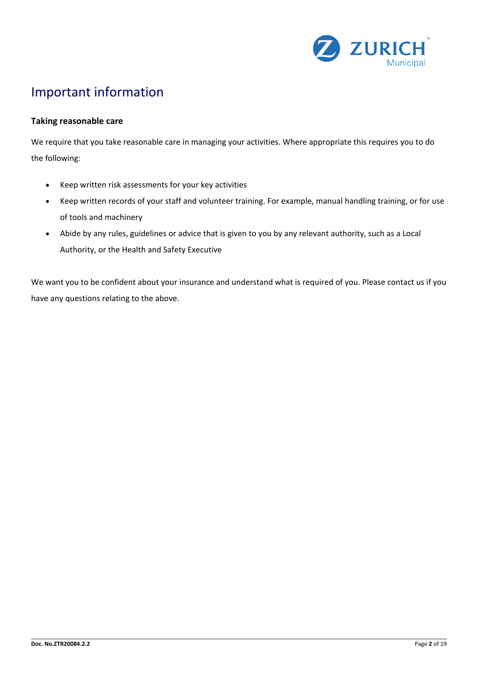

# Important information

### **Taking reasonable care**

We require that you take reasonable care in managing your activities. Where appropriate this requires you to do the following:

- Keep written risk assessments for your key activities
- Keep written records of your staff and volunteer training. For example, manual handling training, or for use of tools and machinery
- Abide by any rules, guidelines or advice that is given to you by any relevant authority, such as a Local Authority, or the Health and Safety Executive

We want you to be confident about your insurance and understand what is required of you. Please contact us if you have any questions relating to the above.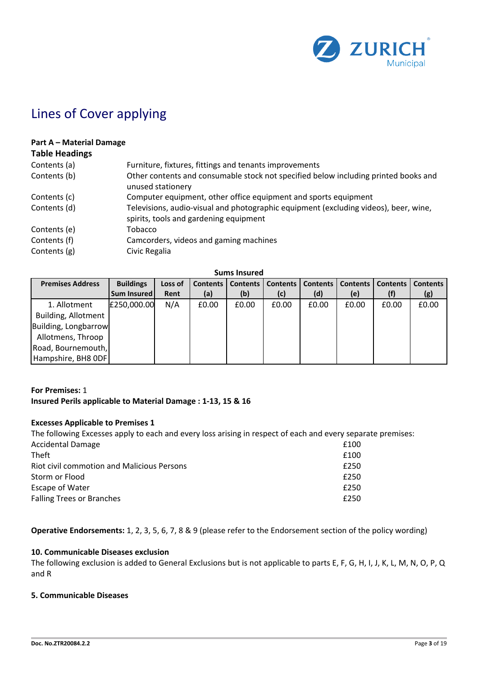

# Lines of Cover applying

#### **Part A – Material Damage Table Headings**

| Table Headings |                                                                                                                                |
|----------------|--------------------------------------------------------------------------------------------------------------------------------|
| Contents (a)   | Furniture, fixtures, fittings and tenants improvements                                                                         |
| Contents (b)   | Other contents and consumable stock not specified below including printed books and<br>unused stationery                       |
| Contents (c)   | Computer equipment, other office equipment and sports equipment                                                                |
| Contents (d)   | Televisions, audio-visual and photographic equipment (excluding videos), beer, wine,<br>spirits, tools and gardening equipment |
| Contents (e)   | Tobacco                                                                                                                        |
| Contents (f)   | Camcorders, videos and gaming machines                                                                                         |
| Contents (g)   | Civic Regalia                                                                                                                  |

**Sums Insured**

| <b>Premises Address</b> | <b>Buildings</b> | Loss of | <b>Contents</b> | Contents | <b>Contents</b> | Contents | <b>Contents</b> | <b>Contents</b> | <b>Contents</b> |
|-------------------------|------------------|---------|-----------------|----------|-----------------|----------|-----------------|-----------------|-----------------|
|                         | Sum Insured      | Rent    | (a)             | (b)      | (c)             | (d)      | (e)             |                 | (g)             |
| 1. Allotment            | £250,000.00      | N/A     | £0.00           | £0.00    | £0.00           | £0.00    | £0.00           | £0.00           | £0.00           |
| Building, Allotment     |                  |         |                 |          |                 |          |                 |                 |                 |
| Building, Longbarrow    |                  |         |                 |          |                 |          |                 |                 |                 |
| Allotmens, Throop       |                  |         |                 |          |                 |          |                 |                 |                 |
| Road, Bournemouth,      |                  |         |                 |          |                 |          |                 |                 |                 |
| Hampshire, BH8 ODF      |                  |         |                 |          |                 |          |                 |                 |                 |

### **For Premises:** 1 **Insured Perils applicable to Material Damage : 1-13, 15 & 16**

### **Excesses Applicable to Premises 1**

| The following Excesses apply to each and every loss arising in respect of each and every separate premises: |
|-------------------------------------------------------------------------------------------------------------|
| £100                                                                                                        |
| £100                                                                                                        |
| £250                                                                                                        |
| £250                                                                                                        |
| £250                                                                                                        |
| £250                                                                                                        |
|                                                                                                             |

**Operative Endorsements:** 1, 2, 3, 5, 6, 7, 8 & 9 (please refer to the Endorsement section of the policy wording)

## **10. Communicable Diseases exclusion**

The following exclusion is added to General Exclusions but is not applicable to parts E, F, G, H, I, J, K, L, M, N, O, P, Q and R

#### **5. Communicable Diseases**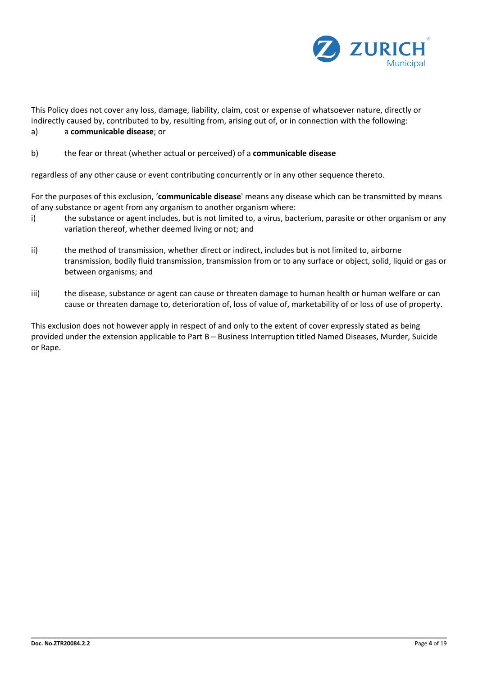

This Policy does not cover any loss, damage, liability, claim, cost or expense of whatsoever nature, directly or indirectly caused by, contributed to by, resulting from, arising out of, or in connection with the following: a) a **communicable disease**; or

b) the fear or threat (whether actual or perceived) of a **communicable disease**

regardless of any other cause or event contributing concurrently or in any other sequence thereto.

For the purposes of this exclusion, '**communicable disease**' means any disease which can be transmitted by means of any substance or agent from any organism to another organism where:

- i) the substance or agent includes, but is not limited to, a virus, bacterium, parasite or other organism or any variation thereof, whether deemed living or not; and
- ii) the method of transmission, whether direct or indirect, includes but is not limited to, airborne transmission, bodily fluid transmission, transmission from or to any surface or object, solid, liquid or gas or between organisms; and
- iii) the disease, substance or agent can cause or threaten damage to human health or human welfare or can cause or threaten damage to, deterioration of, loss of value of, marketability of or loss of use of property.

This exclusion does not however apply in respect of and only to the extent of cover expressly stated as being provided under the extension applicable to Part B – Business Interruption titled Named Diseases, Murder, Suicide or Rape.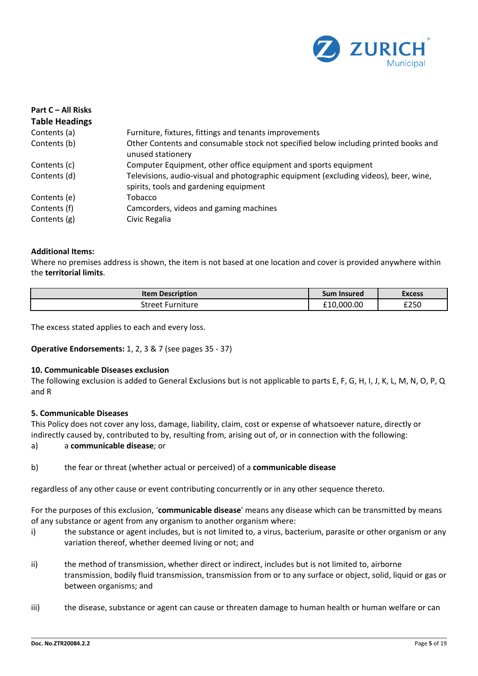

| Part C – All Risks<br><b>Table Headings</b> |                                                                                                                                |
|---------------------------------------------|--------------------------------------------------------------------------------------------------------------------------------|
| Contents (a)                                | Furniture, fixtures, fittings and tenants improvements                                                                         |
| Contents (b)                                | Other Contents and consumable stock not specified below including printed books and<br>unused stationery                       |
| Contents (c)                                | Computer Equipment, other office equipment and sports equipment                                                                |
| Contents (d)                                | Televisions, audio-visual and photographic equipment (excluding videos), beer, wine,<br>spirits, tools and gardening equipment |
| Contents (e)                                | Tobacco                                                                                                                        |
| Contents (f)                                | Camcorders, videos and gaming machines                                                                                         |
| Contents (g)                                | Civic Regalia                                                                                                                  |

### **Additional Items:**

Where no premises address is shown, the item is not based at one location and cover is provided anywhere within the **territorial limits**.

| <b>Item Description</b> | Sum Insured | <b>Excess</b> |  |
|-------------------------|-------------|---------------|--|
| Street Furniture        | £10,000.00  | £250          |  |

The excess stated applies to each and every loss.

**Operative Endorsements:** 1, 2, 3 & 7 (see pages 35 - 37)

#### **10. Communicable Diseases exclusion**

The following exclusion is added to General Exclusions but is not applicable to parts E, F, G, H, I, J, K, L, M, N, O, P, Q and R

#### **5. Communicable Diseases**

This Policy does not cover any loss, damage, liability, claim, cost or expense of whatsoever nature, directly or indirectly caused by, contributed to by, resulting from, arising out of, or in connection with the following:

a) a **communicable disease**; or

b) the fear or threat (whether actual or perceived) of a **communicable disease**

regardless of any other cause or event contributing concurrently or in any other sequence thereto.

For the purposes of this exclusion, '**communicable disease**' means any disease which can be transmitted by means of any substance or agent from any organism to another organism where:

- i) the substance or agent includes, but is not limited to, a virus, bacterium, parasite or other organism or any variation thereof, whether deemed living or not; and
- ii) the method of transmission, whether direct or indirect, includes but is not limited to, airborne transmission, bodily fluid transmission, transmission from or to any surface or object, solid, liquid or gas or between organisms; and
- iii) the disease, substance or agent can cause or threaten damage to human health or human welfare or can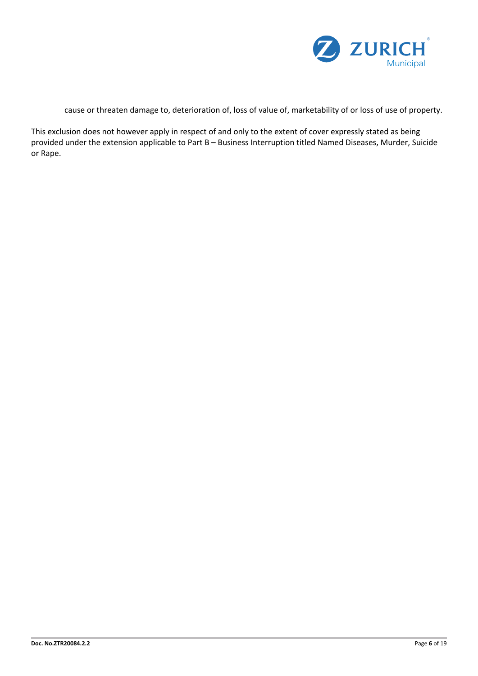

cause or threaten damage to, deterioration of, loss of value of, marketability of or loss of use of property.

This exclusion does not however apply in respect of and only to the extent of cover expressly stated as being provided under the extension applicable to Part B – Business Interruption titled Named Diseases, Murder, Suicide or Rape.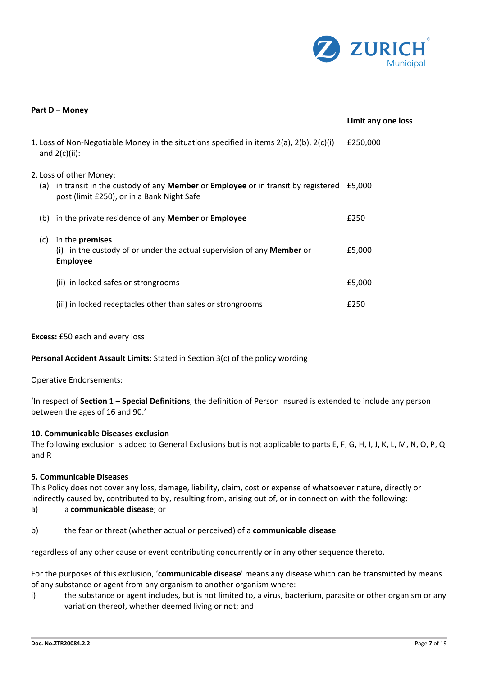

| Part D - Money |                                                                                                                                                                            |                    |
|----------------|----------------------------------------------------------------------------------------------------------------------------------------------------------------------------|--------------------|
|                |                                                                                                                                                                            | Limit any one loss |
|                | 1. Loss of Non-Negotiable Money in the situations specified in items $2(a)$ , $2(b)$ , $2(c)(i)$<br>and $2(c)(ii)$ :                                                       | £250,000           |
|                | 2. Loss of other Money:<br>(a) in transit in the custody of any <b>Member</b> or <b>Employee</b> or in transit by registered<br>post (limit £250), or in a Bank Night Safe | £5.000             |
| (b)            | in the private residence of any <b>Member</b> or <b>Employee</b>                                                                                                           | £250               |
| (c)            | in the premises<br>(i) in the custody of or under the actual supervision of any <b>Member</b> or<br><b>Employee</b>                                                        | £5,000             |
|                | (ii) in locked safes or strongrooms                                                                                                                                        | £5,000             |
|                | (iii) in locked receptacles other than safes or strongrooms                                                                                                                | £250               |

#### **Excess:** £50 each and every loss

**Personal Accident Assault Limits:** Stated in Section 3(c) of the policy wording

Operative Endorsements:

'In respect of **Section 1 – Special Definitions**, the definition of Person Insured is extended to include any person between the ages of 16 and 90.'

#### **10. Communicable Diseases exclusion**

The following exclusion is added to General Exclusions but is not applicable to parts E, F, G, H, I, J, K, L, M, N, O, P, Q and R

#### **5. Communicable Diseases**

This Policy does not cover any loss, damage, liability, claim, cost or expense of whatsoever nature, directly or indirectly caused by, contributed to by, resulting from, arising out of, or in connection with the following:

- a) a **communicable disease**; or
- b) the fear or threat (whether actual or perceived) of a **communicable disease**

regardless of any other cause or event contributing concurrently or in any other sequence thereto.

For the purposes of this exclusion, '**communicable disease**' means any disease which can be transmitted by means of any substance or agent from any organism to another organism where:

i) the substance or agent includes, but is not limited to, a virus, bacterium, parasite or other organism or any variation thereof, whether deemed living or not; and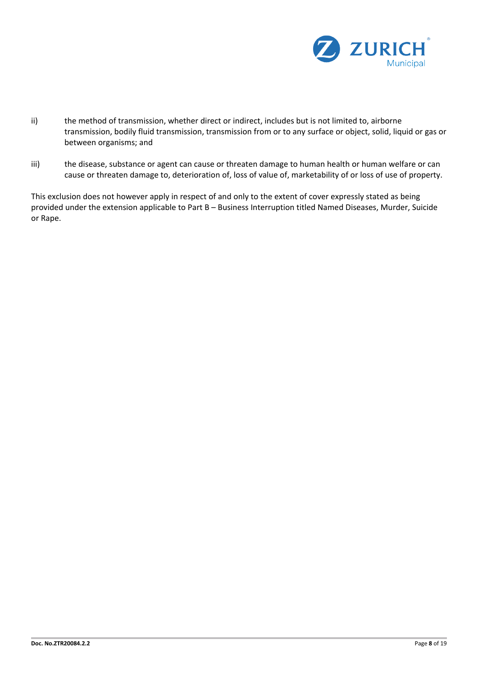

- ii) the method of transmission, whether direct or indirect, includes but is not limited to, airborne transmission, bodily fluid transmission, transmission from or to any surface or object, solid, liquid or gas or between organisms; and
- iii) the disease, substance or agent can cause or threaten damage to human health or human welfare or can cause or threaten damage to, deterioration of, loss of value of, marketability of or loss of use of property.

This exclusion does not however apply in respect of and only to the extent of cover expressly stated as being provided under the extension applicable to Part B – Business Interruption titled Named Diseases, Murder, Suicide or Rape.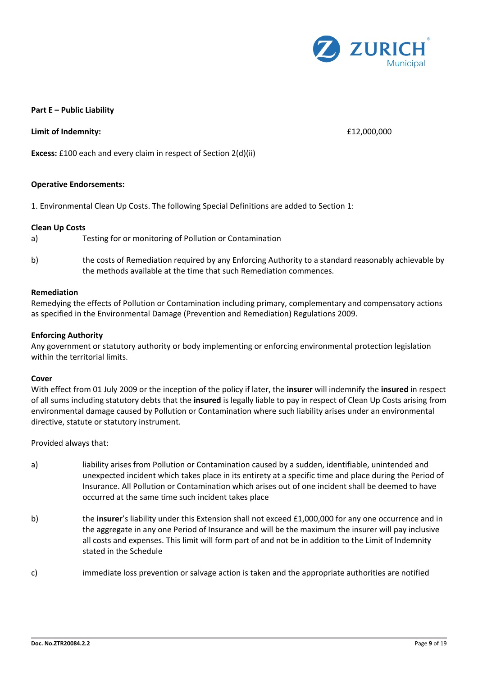

#### **Part E – Public Liability**

**Limit of Indemnity:** £12,000,000

**Excess:** £100 each and every claim in respect of Section 2(d)(ii)

#### **Operative Endorsements:**

1. Environmental Clean Up Costs. The following Special Definitions are added to Section 1:

#### **Clean Up Costs**

- a) Testing for or monitoring of Pollution or Contamination
- b) the costs of Remediation required by any Enforcing Authority to a standard reasonably achievable by the methods available at the time that such Remediation commences.

#### **Remediation**

Remedying the effects of Pollution or Contamination including primary, complementary and compensatory actions as specified in the Environmental Damage (Prevention and Remediation) Regulations 2009.

#### **Enforcing Authority**

Any government or statutory authority or body implementing or enforcing environmental protection legislation within the territorial limits.

#### **Cover**

With effect from 01 July 2009 or the inception of the policy if later, the **insurer** will indemnify the **insured** in respect of all sums including statutory debts that the **insured** is legally liable to pay in respect of Clean Up Costs arising from environmental damage caused by Pollution or Contamination where such liability arises under an environmental directive, statute or statutory instrument.

Provided always that:

- a) liability arises from Pollution or Contamination caused by a sudden, identifiable, unintended and unexpected incident which takes place in its entirety at a specific time and place during the Period of Insurance. All Pollution or Contamination which arises out of one incident shall be deemed to have occurred at the same time such incident takes place
- b) the **insurer**'s liability under this Extension shall not exceed £1,000,000 for any one occurrence and in the aggregate in any one Period of Insurance and will be the maximum the insurer will pay inclusive all costs and expenses. This limit will form part of and not be in addition to the Limit of Indemnity stated in the Schedule
- c) immediate loss prevention or salvage action is taken and the appropriate authorities are notified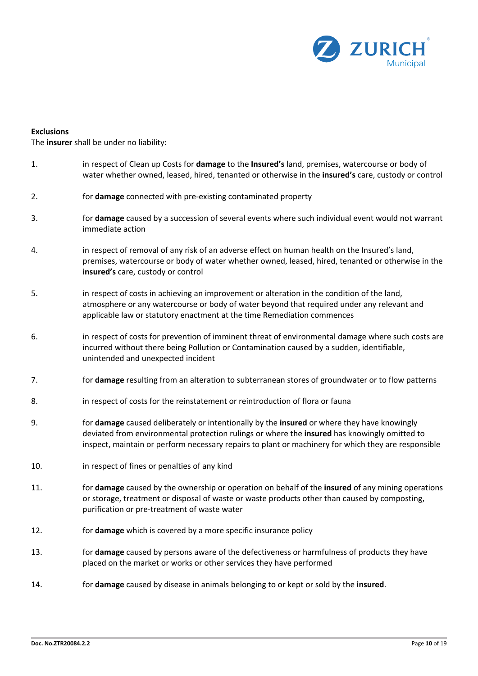

#### **Exclusions**

The **insurer** shall be under no liability:

- 1. in respect of Clean up Costs for **damage** to the **Insured's** land, premises, watercourse or body of water whether owned, leased, hired, tenanted or otherwise in the **insured's** care, custody or control
- 2. for **damage** connected with pre-existing contaminated property
- 3. for **damage** caused by a succession of several events where such individual event would not warrant immediate action
- 4. in respect of removal of any risk of an adverse effect on human health on the Insured's land, premises, watercourse or body of water whether owned, leased, hired, tenanted or otherwise in the **insured's** care, custody or control
- 5. in respect of costs in achieving an improvement or alteration in the condition of the land, atmosphere or any watercourse or body of water beyond that required under any relevant and applicable law or statutory enactment at the time Remediation commences
- 6. in respect of costs for prevention of imminent threat of environmental damage where such costs are incurred without there being Pollution or Contamination caused by a sudden, identifiable, unintended and unexpected incident
- 7. for **damage** resulting from an alteration to subterranean stores of groundwater or to flow patterns
- 8. in respect of costs for the reinstatement or reintroduction of flora or fauna
- 9. for **damage** caused deliberately or intentionally by the **insured** or where they have knowingly deviated from environmental protection rulings or where the **insured** has knowingly omitted to inspect, maintain or perform necessary repairs to plant or machinery for which they are responsible
- 10. in respect of fines or penalties of any kind
- 11. for **damage** caused by the ownership or operation on behalf of the **insured** of any mining operations or storage, treatment or disposal of waste or waste products other than caused by composting, purification or pre-treatment of waste water
- 12. for **damage** which is covered by a more specific insurance policy
- 13. for **damage** caused by persons aware of the defectiveness or harmfulness of products they have placed on the market or works or other services they have performed
- 14. for **damage** caused by disease in animals belonging to or kept or sold by the **insured**.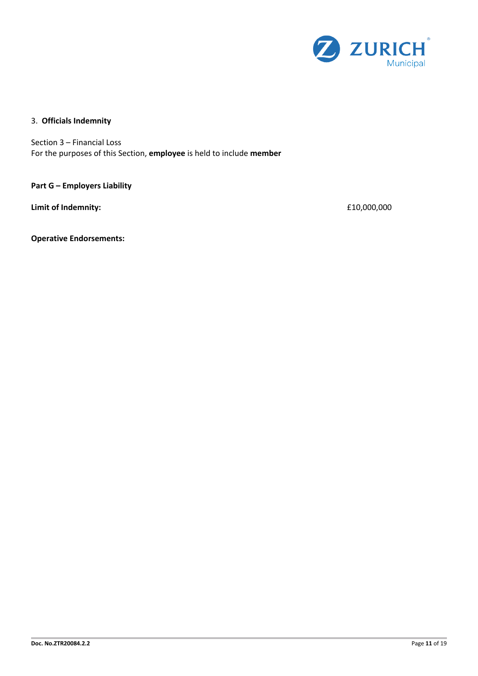

## 3. **Officials Indemnity**

Section 3 – Financial Loss For the purposes of this Section, **employee** is held to include **member**

**Part G – Employers Liability** 

**Limit of Indemnity:**  $£10,000,000$ 

**Operative Endorsements:**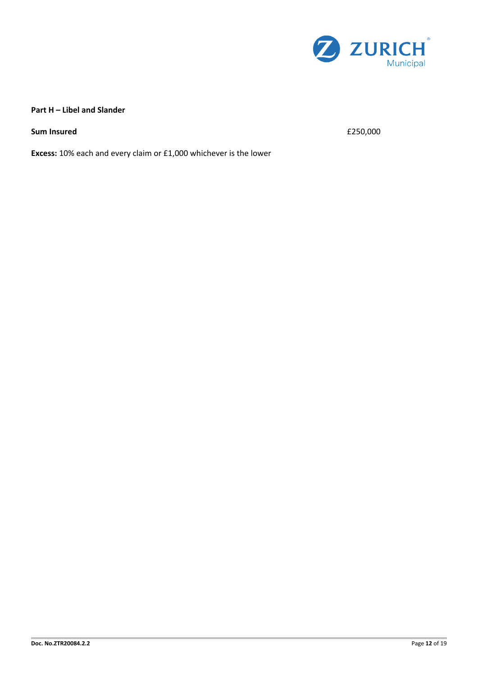

### **Part H – Libel and Slander**

**Sum Insured**  $\epsilon$  250,000

**Excess:** 10% each and every claim or £1,000 whichever is the lower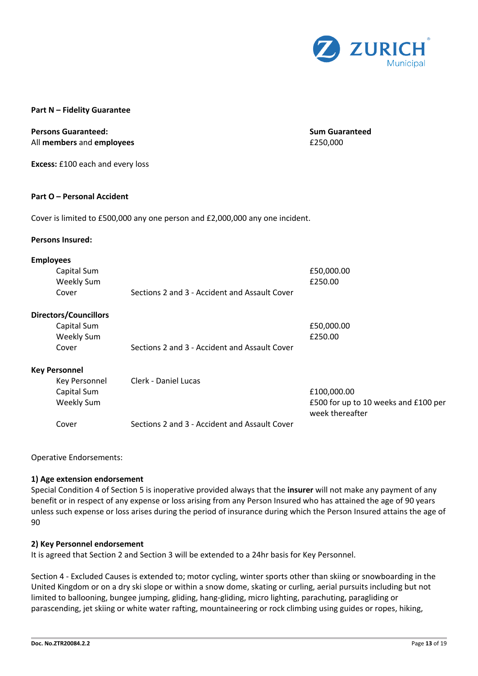

#### **Part N – Fidelity Guarantee**

#### **Persons Guaranteed: Sum Guaranteed** All **members** and **employees E250,000**

**Excess:** £100 each and every loss

#### **Part O – Personal Accident**

Cover is limited to £500,000 any one person and £2,000,000 any one incident.

#### **Persons Insured:**

#### **Employees**

| Capital Sum<br><b>Weekly Sum</b> |                                               | £50,000.00<br>£250.00                                   |
|----------------------------------|-----------------------------------------------|---------------------------------------------------------|
| Cover                            | Sections 2 and 3 - Accident and Assault Cover |                                                         |
| <b>Directors/Councillors</b>     |                                               |                                                         |
| Capital Sum                      |                                               | £50,000.00                                              |
| <b>Weekly Sum</b>                |                                               | £250.00                                                 |
| Cover                            | Sections 2 and 3 - Accident and Assault Cover |                                                         |
| <b>Key Personnel</b>             |                                               |                                                         |
| Key Personnel                    | Clerk - Daniel Lucas                          |                                                         |
| Capital Sum                      |                                               | £100,000.00                                             |
| Weekly Sum                       |                                               | £500 for up to 10 weeks and £100 per<br>week thereafter |
| Cover                            | Sections 2 and 3 - Accident and Assault Cover |                                                         |

Operative Endorsements:

#### **1) Age extension endorsement**

Special Condition 4 of Section 5 is inoperative provided always that the **insurer** will not make any payment of any benefit or in respect of any expense or loss arising from any Person Insured who has attained the age of 90 years unless such expense or loss arises during the period of insurance during which the Person Insured attains the age of 90

#### **2) Key Personnel endorsement**

It is agreed that Section 2 and Section 3 will be extended to a 24hr basis for Key Personnel.

Section 4 - Excluded Causes is extended to; motor cycling, winter sports other than skiing or snowboarding in the United Kingdom or on a dry ski slope or within a snow dome, skating or curling, aerial pursuits including but not limited to ballooning, bungee jumping, gliding, hang-gliding, micro lighting, parachuting, paragliding or parascending, jet skiing or white water rafting, mountaineering or rock climbing using guides or ropes, hiking,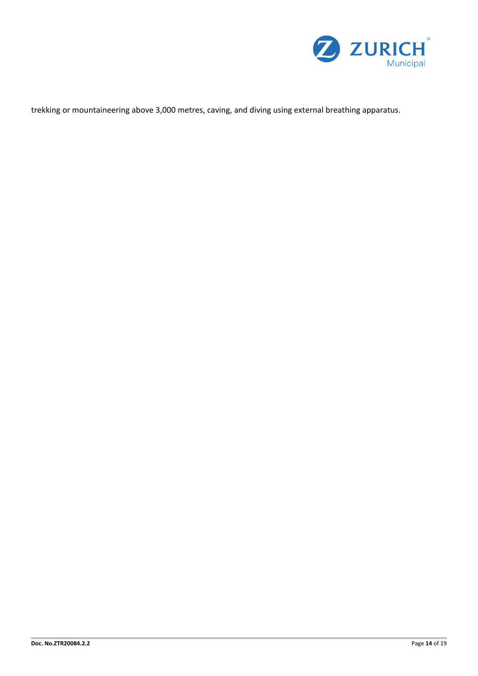

trekking or mountaineering above 3,000 metres, caving, and diving using external breathing apparatus.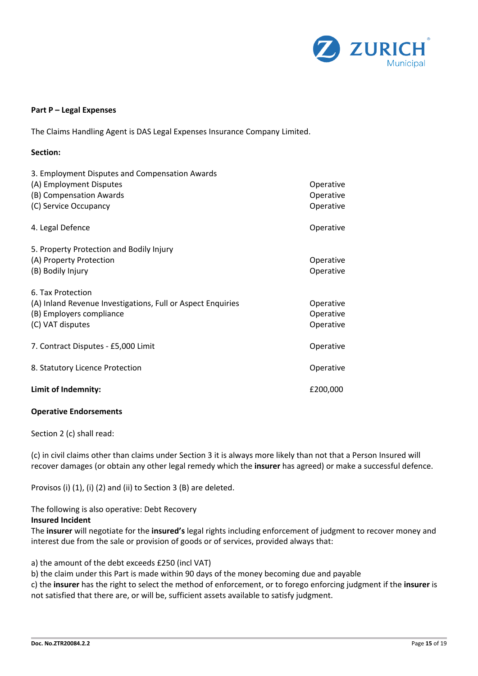

#### **Part P – Legal Expenses**

The Claims Handling Agent is DAS Legal Expenses Insurance Company Limited.

| Section:                                                                                                                         |                                     |
|----------------------------------------------------------------------------------------------------------------------------------|-------------------------------------|
| 3. Employment Disputes and Compensation Awards<br>(A) Employment Disputes<br>(B) Compensation Awards<br>(C) Service Occupancy    | Operative<br>Operative<br>Operative |
| 4. Legal Defence                                                                                                                 | Operative                           |
| 5. Property Protection and Bodily Injury<br>(A) Property Protection<br>(B) Bodily Injury                                         | Operative<br>Operative              |
| 6. Tax Protection<br>(A) Inland Revenue Investigations, Full or Aspect Enquiries<br>(B) Employers compliance<br>(C) VAT disputes | Operative<br>Operative<br>Operative |
| 7. Contract Disputes - £5,000 Limit                                                                                              | Operative                           |
| 8. Statutory Licence Protection                                                                                                  | Operative                           |
| Limit of Indemnity:                                                                                                              | £200,000                            |

#### **Operative Endorsements**

Section 2 (c) shall read:

(c) in civil claims other than claims under Section 3 it is always more likely than not that a Person Insured will recover damages (or obtain any other legal remedy which the **insurer** has agreed) or make a successful defence.

Provisos (i) (1), (i) (2) and (ii) to Section 3 (B) are deleted.

The following is also operative: Debt Recovery

#### **Insured Incident**

The **insurer** will negotiate for the **insured's** legal rights including enforcement of judgment to recover money and interest due from the sale or provision of goods or of services, provided always that:

a) the amount of the debt exceeds £250 (incl VAT)

b) the claim under this Part is made within 90 days of the money becoming due and payable

c) the **insurer** has the right to select the method of enforcement, or to forego enforcing judgment if the **insurer** is not satisfied that there are, or will be, sufficient assets available to satisfy judgment.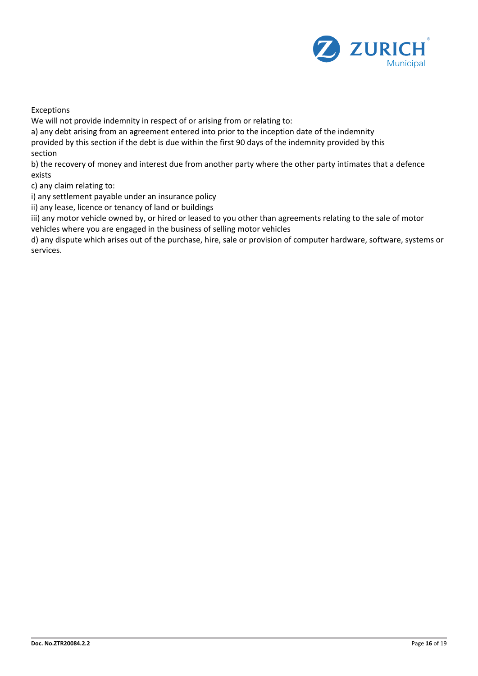

Exceptions

We will not provide indemnity in respect of or arising from or relating to:

a) any debt arising from an agreement entered into prior to the inception date of the indemnity provided by this section if the debt is due within the first 90 days of the indemnity provided by this section

b) the recovery of money and interest due from another party where the other party intimates that a defence exists

c) any claim relating to:

i) any settlement payable under an insurance policy

ii) any lease, licence or tenancy of land or buildings

iii) any motor vehicle owned by, or hired or leased to you other than agreements relating to the sale of motor vehicles where you are engaged in the business of selling motor vehicles

d) any dispute which arises out of the purchase, hire, sale or provision of computer hardware, software, systems or services.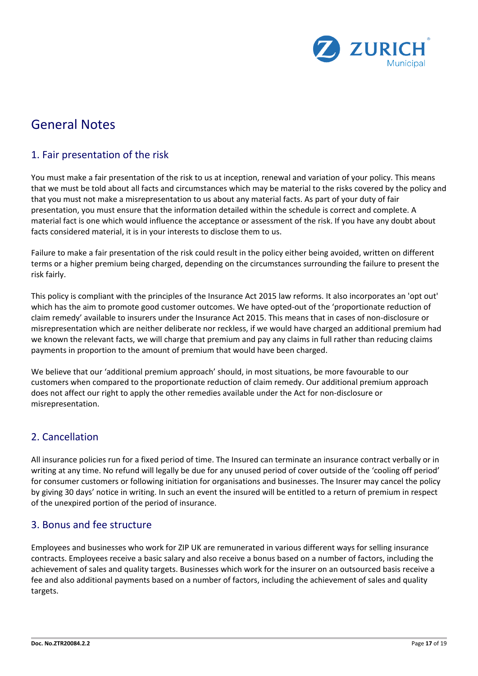

# General Notes

# 1. Fair presentation of the risk

You must make a fair presentation of the risk to us at inception, renewal and variation of your policy. This means that we must be told about all facts and circumstances which may be material to the risks covered by the policy and that you must not make a misrepresentation to us about any material facts. As part of your duty of fair presentation, you must ensure that the information detailed within the schedule is correct and complete. A material fact is one which would influence the acceptance or assessment of the risk. If you have any doubt about facts considered material, it is in your interests to disclose them to us.

Failure to make a fair presentation of the risk could result in the policy either being avoided, written on different terms or a higher premium being charged, depending on the circumstances surrounding the failure to present the risk fairly.

This policy is compliant with the principles of the Insurance Act 2015 law reforms. It also incorporates an 'opt out' which has the aim to promote good customer outcomes. We have opted-out of the 'proportionate reduction of claim remedy' available to insurers under the Insurance Act 2015. This means that in cases of non-disclosure or misrepresentation which are neither deliberate nor reckless, if we would have charged an additional premium had we known the relevant facts, we will charge that premium and pay any claims in full rather than reducing claims payments in proportion to the amount of premium that would have been charged.

We believe that our 'additional premium approach' should, in most situations, be more favourable to our customers when compared to the proportionate reduction of claim remedy. Our additional premium approach does not affect our right to apply the other remedies available under the Act for non-disclosure or misrepresentation.

# 2. Cancellation

All insurance policies run for a fixed period of time. The Insured can terminate an insurance contract verbally or in writing at any time. No refund will legally be due for any unused period of cover outside of the 'cooling off period' for consumer customers or following initiation for organisations and businesses. The Insurer may cancel the policy by giving 30 days' notice in writing. In such an event the insured will be entitled to a return of premium in respect of the unexpired portion of the period of insurance.

## 3. Bonus and fee structure

Employees and businesses who work for ZIP UK are remunerated in various different ways for selling insurance contracts. Employees receive a basic salary and also receive a bonus based on a number of factors, including the achievement of sales and quality targets. Businesses which work for the insurer on an outsourced basis receive a fee and also additional payments based on a number of factors, including the achievement of sales and quality targets.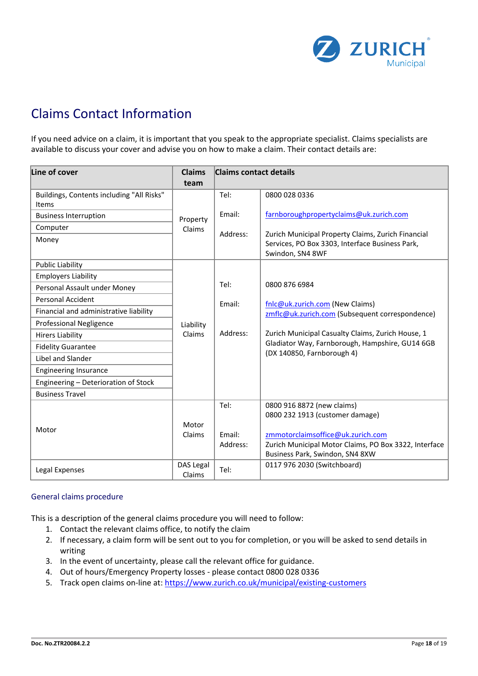

# Claims Contact Information

If you need advice on a claim, it is important that you speak to the appropriate specialist. Claims specialists are available to discuss your cover and advise you on how to make a claim. Their contact details are:

| Line of cover                                      | <b>Claims</b>       | <b>Claims contact details</b> |                                                                                                                                    |
|----------------------------------------------------|---------------------|-------------------------------|------------------------------------------------------------------------------------------------------------------------------------|
|                                                    | team                |                               |                                                                                                                                    |
| Buildings, Contents including "All Risks"<br>Items |                     | Tel:                          | 0800 028 0336                                                                                                                      |
| <b>Business Interruption</b>                       | Property            | Email:                        | farnboroughpropertyclaims@uk.zurich.com                                                                                            |
| Computer                                           | Claims              | Address:                      | Zurich Municipal Property Claims, Zurich Financial                                                                                 |
| Money                                              |                     |                               | Services, PO Box 3303, Interface Business Park,<br>Swindon, SN4 8WF                                                                |
| <b>Public Liability</b>                            |                     |                               |                                                                                                                                    |
| <b>Employers Liability</b>                         |                     |                               |                                                                                                                                    |
| Personal Assault under Money                       |                     | Tel:                          | 0800 876 6984                                                                                                                      |
| Personal Accident                                  |                     | Email:                        | fnlc@uk.zurich.com (New Claims)                                                                                                    |
| Financial and administrative liability             |                     | Address:                      | zmflc@uk.zurich.com (Subsequent correspondence)                                                                                    |
| <b>Professional Negligence</b>                     | Liability           |                               |                                                                                                                                    |
| <b>Hirers Liability</b>                            | Claims              |                               | Zurich Municipal Casualty Claims, Zurich House, 1<br>Gladiator Way, Farnborough, Hampshire, GU14 6GB<br>(DX 140850, Farnborough 4) |
| <b>Fidelity Guarantee</b>                          |                     |                               |                                                                                                                                    |
| Libel and Slander                                  |                     |                               |                                                                                                                                    |
| <b>Engineering Insurance</b>                       |                     |                               |                                                                                                                                    |
| Engineering - Deterioration of Stock               |                     |                               |                                                                                                                                    |
| <b>Business Travel</b>                             |                     |                               |                                                                                                                                    |
|                                                    |                     | Tel:                          | 0800 916 8872 (new claims)<br>0800 232 1913 (customer damage)                                                                      |
| Motor                                              | Motor<br>Claims     | Email:<br>Address:            | zmmotorclaimsoffice@uk.zurich.com<br>Zurich Municipal Motor Claims, PO Box 3322, Interface<br>Business Park, Swindon, SN4 8XW      |
| Legal Expenses                                     | DAS Legal<br>Claims | Tel:                          | 0117 976 2030 (Switchboard)                                                                                                        |

#### General claims procedure

This is a description of the general claims procedure you will need to follow:

- 1. Contact the relevant claims office, to notify the claim
- 2. If necessary, a claim form will be sent out to you for completion, or you will be asked to send details in writing
- 3. In the event of uncertainty, please call the relevant office for guidance.
- 4. Out of hours/Emergency Property losses please contact 0800 028 0336
- 5. Track open claims on-line at:<https://www.zurich.co.uk/municipal/existing-customers>